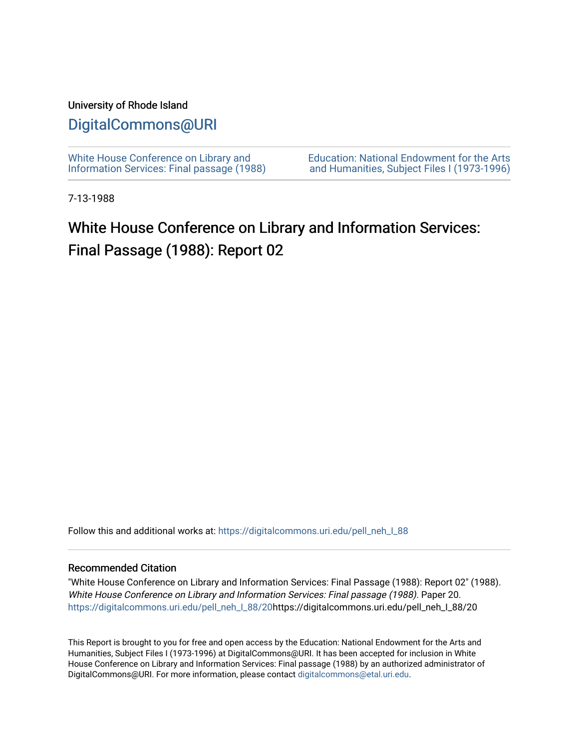# University of Rhode Island

# [DigitalCommons@URI](https://digitalcommons.uri.edu/)

[White House Conference on Library and](https://digitalcommons.uri.edu/pell_neh_I_88) [Information Services: Final passage \(1988\)](https://digitalcommons.uri.edu/pell_neh_I_88) [Education: National Endowment for the Arts](https://digitalcommons.uri.edu/pell_neh_I)  [and Humanities, Subject Files I \(1973-1996\)](https://digitalcommons.uri.edu/pell_neh_I) 

7-13-1988

# White House Conference on Library and Information Services: Final Passage (1988): Report 02

Follow this and additional works at: [https://digitalcommons.uri.edu/pell\\_neh\\_I\\_88](https://digitalcommons.uri.edu/pell_neh_I_88?utm_source=digitalcommons.uri.edu%2Fpell_neh_I_88%2F20&utm_medium=PDF&utm_campaign=PDFCoverPages) 

### Recommended Citation

"White House Conference on Library and Information Services: Final Passage (1988): Report 02" (1988). White House Conference on Library and Information Services: Final passage (1988). Paper 20. [https://digitalcommons.uri.edu/pell\\_neh\\_I\\_88/20h](https://digitalcommons.uri.edu/pell_neh_I_88/20?utm_source=digitalcommons.uri.edu%2Fpell_neh_I_88%2F20&utm_medium=PDF&utm_campaign=PDFCoverPages)ttps://digitalcommons.uri.edu/pell\_neh\_I\_88/20

This Report is brought to you for free and open access by the Education: National Endowment for the Arts and Humanities, Subject Files I (1973-1996) at DigitalCommons@URI. It has been accepted for inclusion in White House Conference on Library and Information Services: Final passage (1988) by an authorized administrator of DigitalCommons@URI. For more information, please contact [digitalcommons@etal.uri.edu.](mailto:digitalcommons@etal.uri.edu)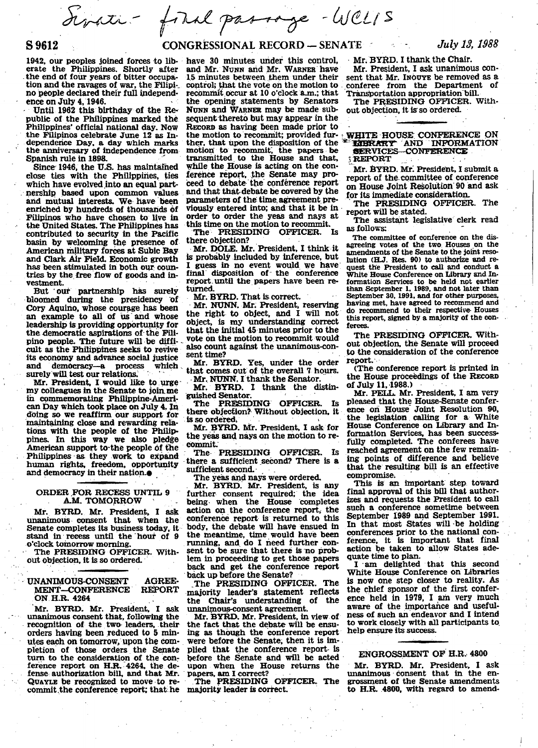Seveti - foral passage - WCLIS

# S 9612

1942, our peoples joined forces to liberate the Philippines. Shortly after the end of four years of bitter occupation and the ravages of war, the Filipino people declared their full independence on July 4, 1946.

Until 1962 this birthday of the Republic of the Philippines marked the Philippines' official national day. Now the Filipinos celebrate June 12 as Independence Day, a day which marks the anniversary of independence from Spanish rule in 1898.

Since 1946, the U.S. has maintained close ties with the Philippines, ties<br>which have evolved into an equal partnership based upon common values and mutual interests. We have been enriched by hundreds of thousands of Filipinos who have chosen to live in the United States. The Philippines has contributed to security in the Pacific basin by welcoming the presence of American military forces at Subic Bay and Clark Air Field. Economic growth has been stimulated in both our countries by the free flow of goods and investment.

But our partnership has surely bloomed during the presidency of Cory Aquino, whose courage has been an example to all of us and whose leadership is providing opportunity for the democratic aspirations of the Filipino people. The future will be difficult as the Philippines seeks to revive its economy and advance social justice and democracy-a process which surely will test our relations.

Mr. President, I would like to urgemy colleagues in the Senate to join me in commemorating Philippine-American Day which took place on July 4. In doing so we reaffirm our support for<br>maintaining close and rewarding relations with the people of the Philippines. In this way we also pledge<br>American support to the people of the Philippines as they work to expand human rights, freedom, opportunity<br>and democracy in their nation.

#### ORDER FOR RECESS UNTIL 9 A.M. TOMORROW

Mr. BYRD. Mr. President, I ask unanimous consent that when the Senate completes its business today, it stand in recess until the hour of 9 o'clock tomorrow morning.

The PRESIDING OFFICER. Without objection, it is so ordered.

#### UNANIMOUS-CONSENT **AGREE-**MENT-CONFERENCE **REPORT** ON H.R. 4264

Mr. BYRD. Mr. President, I ask unanimous consent that, following the recognition of the two leaders, their orders having been reduced to 5 minutes each on tomorrow, upon the completion of those orders the Senate<br>turn to the consideration of the conference report on H.R. 4264, the defense authorization bill, and that Mr. QUAYLE be recognized to move to recommit the conference report; that he

## **CONGRESSIONAL RECORD - SENATE**

have 30 minutes under this control, and Mr. Nunn and Mr. WARNER have 15 minutes between them under their control; that the vote on the motion to recommit occur at 10 o'clock a.m.: that the opening statements by Senators NUNN and WARNER may be made subsequent thereto but may appear in the RECORD as having been made prior to the motion to recommit; provided further, that upon the disposition of the motion to recommit, the papers be transmitted to the House and that, while the House is acting on the conference report, the Senate may proceed to debate the conference report and that that debate be covered by the parameters of the time agreement previously entered into; and that it be in order to order the yeas and nays at<br>this time on the motion to recommit.

The PRESIDING OFFICER. Is there objection?

Mr. DOLE. Mr. President. I think it is probably included by inference, but I guess in no event would we have<br>final disposition of the conference report until the papers have been returned.

Mr. BYRD. That is correct.

Mr. NUNN. Mr. President. reserving the right to object, and I will not object, is my understanding correct that the initial 45 minutes prior to the vote on the motion to recommit would also count against the unanimous-consent time?

Mr. BYRD. Yes, under the order that comes out of the overall 7 hours. Mr. NUNN. I thank the Senator.

Mr. BYRD. I thank the distinguished Senator.

The PRESIDING OFFICER. Is there objection? Without objection, it is so ordered.

Mr. BYRD. Mr. President, I ask for the yeas and nays on the motion to recommit.

The PRESIDING OFFICER. Is there a sufficient second? There is a sufficient second.

The yeas and nays were ordered.

Mr. BYRD. Mr. President, is any further consent required; the idea<br>being when the House completes action on the conference report, the conference report is returned to this body, the debate will have ensued in the meantime, time would have been running, and do I need further consent to be sure that there is no problem in proceeding to get those papers back and get the conference report back up before the Senate?

The PRESIDING OFFICER. The majority leader's statement reflects the Chair's understanding of the unanimous-consent agreement.

Mr. BYRD. Mr. President, in view of the fact that the debate will be ensuing as though the conference report were before the Senate, then it is implied that the conference report is before the Senate and will be acted upon when the House returns the papers, am I correct?

The PRESIDING OFFICER. The majority leader is correct.

Mr. BYRD. I thank the Chair.

Mr. President. I ask unanimous consent that Mr. INOUYE be removed as a conferee from the Department of Transportation appropriation bill.

The PRESIDING OFFICER. Without objection, it is so ordered.

#### WHITE HOUSE CONFERENCE ON LIBRARY AND INFORMATION SERVICES-CONFERENCE

**EEPORT** 

Mr. BYRD. Mr. President, I submit a report of the committee of conference on House Joint Resolution 90 and ask for its immediate consideration.

The PRESIDING OFFICER. The report will be stated.

The assistant legislative clerk read as follows:

The committee of conference on the disagreeing votes of the two Houses on the amendments of the Senate to the joint resolution (H.J. Res. 90) to authorize and request the President to call and conduct a White House Conference on Library and Information Services to be held not earlier<br>than September 1, 1989, and not later than September 30, 1991, and for other purposes. having met, have agreed to recommend and do recommend to their respective Houses<br>this report, signed by a majority of the conferees.

The PRESIDING OFFICER. Without objection, the Senate will proceed to the consideration of the conference report.

(The conference report is printed in the House proceedings of the RECORD of July 11, 1988.)

Mr. PELL. Mr. President, I am very pleased that the House-Senate conference on House Joint Resolution 90, the legislation calling for a White House Conference on Library and Information Services, has been successfully completed. The conferees have reached agreement on the few remaining points of difference and believe that the resulting bill is an effective compromise.

This is an important step toward final approval of this bill that authorizes and requests the President to call such a conference sometime between September 1989 and September 1991. In that most States will be holding conferences prior to the national conference, it is important that final action be taken to allow States adequate time to plan.

I am delighted that this second White House Conference on Libraries is now one step closer to reality. As the chief sponsor of the first conference held in 1979, I am very much aware of the importance and usefulness of such an endeavor and I intend to work closely with all participants to help ensure its success.

### ENGROSSMENT OF H.R. 4800

Mr. BYRD. Mr. President, I ask unanimous consent that in the engrossment of the Senate amendments to H.R. 4800, with regard to amend-